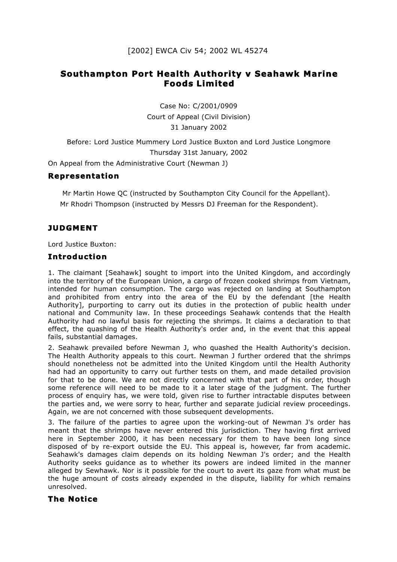# **Southampton Port Health Authority v Seahawk Marine Foods Limited**

Case No: C/2001/0909 Court of Appeal (Civil Division) 31 January 2002

Before: Lord Justice Mummery Lord Justice Buxton and Lord Justice Longmore Thursday 31st January, 2002

On Appeal from the Administrative Court (Newman J)

#### **Representation**

Mr Martin Howe QC (instructed by Southampton City Council for the Appellant). Mr Rhodri Thompson (instructed by Messrs DJ Freeman for the Respondent).

## **JUDGMENT**

Lord Justice Buxton:

#### **Introduction**

1. The claimant [Seahawk] sought to import into the United Kingdom, and accordingly into the territory of the European Union, a cargo of frozen cooked shrimps from Vietnam, intended for human consumption. The cargo was rejected on landing at Southampton and prohibited from entry into the area of the EU by the defendant [the Health Authority], purporting to carry out its duties in the protection of public health under national and Community law. In these proceedings Seahawk contends that the Health Authority had no lawful basis for rejecting the shrimps. It claims a declaration to that effect, the quashing of the Health Authority's order and, in the event that this appeal fails, substantial damages.

2. Seahawk prevailed before Newman J, who quashed the Health Authority's decision. The Health Authority appeals to this court. Newman J further ordered that the shrimps should nonetheless not be admitted into the United Kingdom until the Health Authority had had an opportunity to carry out further tests on them, and made detailed provision for that to be done. We are not directly concerned with that part of his order, though some reference will need to be made to it a later stage of the judgment. The further process of enquiry has, we were told, given rise to further intractable disputes between the parties and, we were sorry to hear, further and separate judicial review proceedings. Again, we are not concerned with those subsequent developments.

3. The failure of the parties to agree upon the working-out of Newman J's order has meant that the shrimps have never entered this jurisdiction. They having first arrived here in September 2000, it has been necessary for them to have been long since disposed of by re-export outside the EU. This appeal is, however, far from academic. Seahawk's damages claim depends on its holding Newman J's order; and the Health Authority seeks guidance as to whether its powers are indeed limited in the manner alleged by Sewhawk. Nor is it possible for the court to avert its gaze from what must be the huge amount of costs already expended in the dispute, liability for which remains unresolved.

## **The Notice**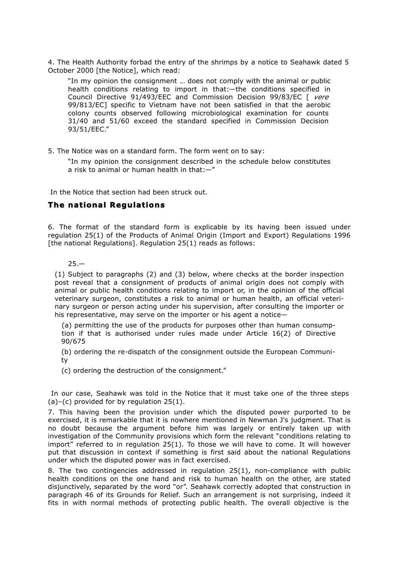4. The Health Authority forbad the entry of the shrimps by a notice to Seahawk dated 5 October 2000 [the Notice], which read:

"In my opinion the consignment … does not comply with the animal or public health conditions relating to import in that:—the conditions specified in Council Directive 91/493/EEC and Commission Decision 99/83/EC [ *vere* 99/813/EC] specific to Vietnam have not been satisfied in that the aerobic colony counts observed following microbiological examination for counts 31/40 and 51/60 exceed the standard specified in Commission Decision 93/51/EEC."

5. The Notice was on a standard form. The form went on to say:

"In my opinion the consignment described in the schedule below constitutes a risk to animal or human health in that:—"

In the Notice that section had been struck out.

## **The national Regulations**

6. The format of the standard form is explicable by its having been issued under regulation 25(1) of the Products of Animal Origin (Import and Export) Regulations 1996 [the national Regulations]. Regulation 25(1) reads as follows:

 $25 -$ 

(1) Subject to paragraphs (2) and (3) below, where checks at the border inspection post reveal that a consignment of products of animal origin does not comply with animal or public health conditions relating to import or, in the opinion of the official veterinary surgeon, constitutes a risk to animal or human health, an official veterinary surgeon or person acting under his supervision, after consulting the importer or his representative, may serve on the importer or his agent a notice—

(a) permitting the use of the products for purposes other than human consumption if that is authorised under rules made under Article 16(2) of Directive 90/675

(b) ordering the re-dispatch of the consignment outside the European Community

(c) ordering the destruction of the consignment."

In our case, Seahawk was told in the Notice that it must take one of the three steps  $(a)-(c)$  provided for by regulation 25(1).

7. This having been the provision under which the disputed power purported to be exercised, it is remarkable that it is nowhere mentioned in Newman J's judgment. That is no doubt because the argument before him was largely or entirely taken up with investigation of the Community provisions which form the relevant "conditions relating to import" referred to in regulation 25(1). To those we will have to come. It will however put that discussion in context if something is first said about the national Regulations under which the disputed power was in fact exercised.

8. The two contingencies addressed in regulation 25(1), non-compliance with public health conditions on the one hand and risk to human health on the other, are stated disjunctively, separated by the word "or". Seahawk correctly adopted that construction in paragraph 46 of its Grounds for Relief. Such an arrangement is not surprising, indeed it fits in with normal methods of protecting public health. The overall objective is the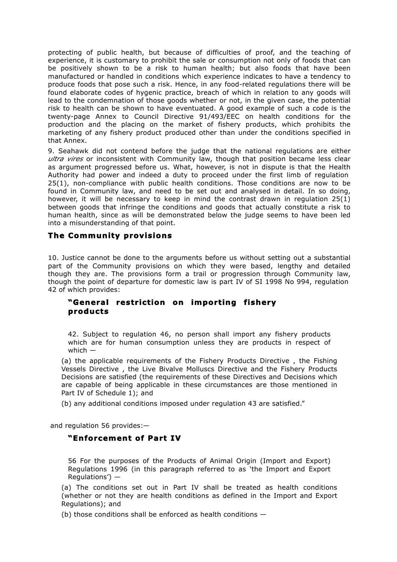protecting of public health, but because of difficulties of proof, and the teaching of experience, it is customary to prohibit the sale or consumption not only of foods that can be positively shown to be a risk to human health; but also foods that have been manufactured or handled in conditions which experience indicates to have a tendency to produce foods that pose such a risk. Hence, in any food-related regulations there will be found elaborate codes of hygenic practice, breach of which in relation to any goods will lead to the condemnation of those goods whether or not, in the given case, the potential risk to health can be shown to have eventuated. A good example of such a code is the twenty-page Annex to Council Directive 91/493/EEC on health conditions for the production and the placing on the market of fishery products, which prohibits the marketing of any fishery product produced other than under the conditions specified in that Annex.

9. Seahawk did not contend before the judge that the national regulations are either *ultra vires* or inconsistent with Community law, though that position became less clear as argument progressed before us. What, however, is not in dispute is that the Health Authority had power and indeed a duty to proceed under the first limb of regulation 25(1), non-compliance with public health conditions. Those conditions are now to be found in Community law, and need to be set out and analysed in detail. In so doing, however, it will be necessary to keep in mind the contrast drawn in regulation 25(1) between goods that infringe the conditions and goods that actually constitute a risk to human health, since as will be demonstrated below the judge seems to have been led into a misunderstanding of that point.

#### **The Community provisions**

10. Justice cannot be done to the arguments before us without setting out a substantial part of the Community provisions on which they were based, lengthy and detailed though they are. The provisions form a trail or progression through Community law, though the point of departure for domestic law is part IV of SI 1998 No 994, regulation 42 of which provides:

#### **"General restriction on importing fishery products**

42. Subject to regulation 46, no person shall import any fishery products which are for human consumption unless they are products in respect of which —

(a) the applicable requirements of the Fishery Products Directive , the Fishing Vessels Directive , the Live Bivalve Molluscs Directive and the Fishery Products Decisions are satisfied (the requirements of these Directives and Decisions which are capable of being applicable in these circumstances are those mentioned in Part IV of Schedule 1); and

(b) any additional conditions imposed under regulation 43 are satisfied."

and regulation 56 provides:—

## **"Enforcement of Part IV**

56 For the purposes of the Products of Animal Origin (Import and Export) Regulations 1996 (in this paragraph referred to as 'the Import and Export Regulations') —

(a) The conditions set out in Part IV shall be treated as health conditions (whether or not they are health conditions as defined in the Import and Export Regulations); and

(b) those conditions shall be enforced as health conditions —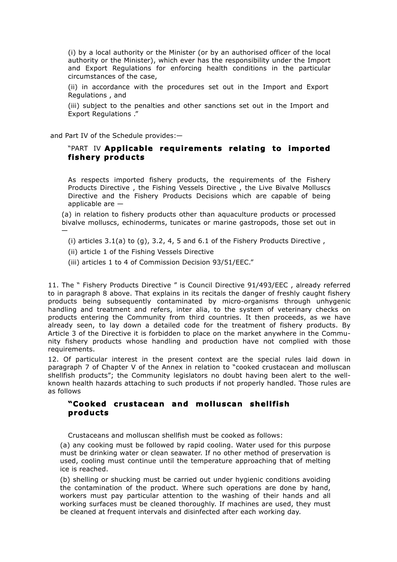(i) by a local authority or the Minister (or by an authorised officer of the local authority or the Minister), which ever has the responsibility under the Import and Export Regulations for enforcing health conditions in the particular circumstances of the case,

(ii) in accordance with the procedures set out in the Import and Export Regulations , and

(iii) subject to the penalties and other sanctions set out in the Import and Export Regulations ."

and Part IV of the Schedule provides:—

—

#### "PART IV **Applicable requirements relating to imported fishery products**

As respects imported fishery products, the requirements of the Fishery Products Directive , the Fishing Vessels Directive , the Live Bivalve Molluscs Directive and the Fishery Products Decisions which are capable of being applicable are  $-$ 

(a) in relation to fishery products other than aquaculture products or processed bivalve molluscs, echinoderms, tunicates or marine gastropods, those set out in

- (i) articles  $3.1(a)$  to  $(q)$ ,  $3.2$ ,  $4$ ,  $5$  and  $6.1$  of the Fishery Products Directive,
- (ii) article 1 of the Fishing Vessels Directive
- (iii) articles 1 to 4 of Commission Decision 93/51/EEC."

11. The " Fishery Products Directive " is Council Directive 91/493/EEC , already referred to in paragraph 8 above. That explains in its recitals the danger of freshly caught fishery products being subsequently contaminated by micro-organisms through unhygenic handling and treatment and refers, inter alia, to the system of veterinary checks on products entering the Community from third countries. It then proceeds, as we have already seen, to lay down a detailed code for the treatment of fishery products. By Article 3 of the Directive it is forbidden to place on the market anywhere in the Community fishery products whose handling and production have not complied with those requirements.

12. Of particular interest in the present context are the special rules laid down in paragraph 7 of Chapter V of the Annex in relation to "cooked crustacean and molluscan shellfish products"; the Community legislators no doubt having been alert to the wellknown health hazards attaching to such products if not properly handled. Those rules are as follows

#### **"Cooked crustacean and molluscan shellfish products**

Crustaceans and molluscan shellfish must be cooked as follows:

(a) any cooking must be followed by rapid cooling. Water used for this purpose must be drinking water or clean seawater. If no other method of preservation is used, cooling must continue until the temperature approaching that of melting ice is reached.

(b) shelling or shucking must be carried out under hygienic conditions avoiding the contamination of the product. Where such operations are done by hand, workers must pay particular attention to the washing of their hands and all working surfaces must be cleaned thoroughly. If machines are used, they must be cleaned at frequent intervals and disinfected after each working day.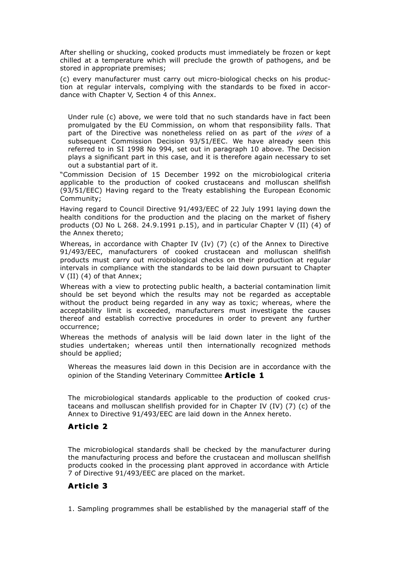After shelling or shucking, cooked products must immediately be frozen or kept chilled at a temperature which will preclude the growth of pathogens, and be stored in appropriate premises;

(c) every manufacturer must carry out micro-biological checks on his production at regular intervals, complying with the standards to be fixed in accordance with Chapter V, Section 4 of this Annex.

Under rule (c) above, we were told that no such standards have in fact been promulgated by the EU Commission, on whom that responsibility falls. That part of the Directive was nonetheless relied on as part of the *vires* of a subsequent Commission Decision 93/51/EEC. We have already seen this referred to in SI 1998 No 994, set out in paragraph 10 above. The Decision plays a significant part in this case, and it is therefore again necessary to set out a substantial part of it.

"Commission Decision of 15 December 1992 on the microbiological criteria applicable to the production of cooked crustaceans and molluscan shellfish (93/51/EEC) Having regard to the Treaty establishing the European Economic Community;

Having regard to Council Directive 91/493/EEC of 22 July 1991 laying down the health conditions for the production and the placing on the market of fishery products (OJ No L 268. 24.9.1991 p.15), and in particular Chapter V (II) (4) of the Annex thereto;

Whereas, in accordance with Chapter IV (Iv) (7) (c) of the Annex to Directive 91/493/EEC, manufacturers of cooked crustacean and molluscan shellfish products must carry out microbiological checks on their production at regular intervals in compliance with the standards to be laid down pursuant to Chapter V (II) (4) of that Annex;

Whereas with a view to protecting public health, a bacterial contamination limit should be set beyond which the results may not be regarded as acceptable without the product being regarded in any way as toxic; whereas, where the acceptability limit is exceeded, manufacturers must investigate the causes thereof and establish corrective procedures in order to prevent any further occurrence;

Whereas the methods of analysis will be laid down later in the light of the studies undertaken; whereas until then internationally recognized methods should be applied;

Whereas the measures laid down in this Decision are in accordance with the opinion of the Standing Veterinary Committee **Article 1**

The microbiological standards applicable to the production of cooked crustaceans and molluscan shellfish provided for in Chapter IV (IV) (7) (c) of the Annex to Directive 91/493/EEC are laid down in the Annex hereto.

## **Article 2**

The microbiological standards shall be checked by the manufacturer during the manufacturing process and before the crustacean and molluscan shellfish products cooked in the processing plant approved in accordance with Article 7 of Directive 91/493/EEC are placed on the market.

# **Article 3**

1. Sampling programmes shall be established by the managerial staff of the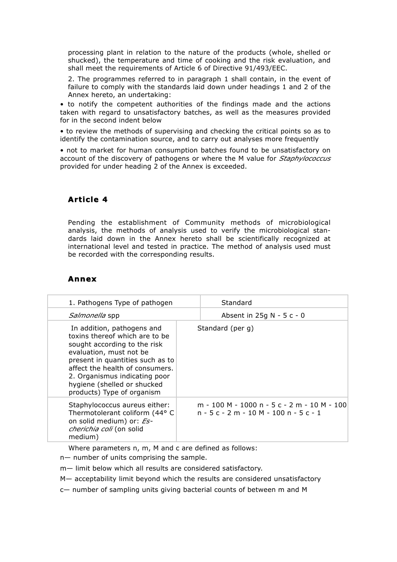processing plant in relation to the nature of the products (whole, shelled or shucked), the temperature and time of cooking and the risk evaluation, and shall meet the requirements of Article 6 of Directive 91/493/EEC.

2. The programmes referred to in paragraph 1 shall contain, in the event of failure to comply with the standards laid down under headings 1 and 2 of the Annex hereto, an undertaking:

• to notify the competent authorities of the findings made and the actions taken with regard to unsatisfactory batches, as well as the measures provided for in the second indent below

• to review the methods of supervising and checking the critical points so as to identify the contamination source, and to carry out analyses more frequently

• not to market for human consumption batches found to be unsatisfactory on account of the discovery of pathogens or where the M value for *Staphylococcus*  provided for under heading 2 of the Annex is exceeded.

# **Article 4**

Pending the establishment of Community methods of microbiological analysis, the methods of analysis used to verify the microbiological standards laid down in the Annex hereto shall be scientifically recognized at international level and tested in practice. The method of analysis used must be recorded with the corresponding results.

## **Annex**

| 1. Pathogens Type of pathogen                                                                                                                                                                                                                                                                | Standard                                                                           |
|----------------------------------------------------------------------------------------------------------------------------------------------------------------------------------------------------------------------------------------------------------------------------------------------|------------------------------------------------------------------------------------|
| <i>Salmonella</i> spp                                                                                                                                                                                                                                                                        | Absent in $25q$ N - 5 c - 0                                                        |
| In addition, pathogens and<br>toxins thereof which are to be<br>sought according to the risk<br>evaluation, must not be<br>present in quantities such as to<br>affect the health of consumers.<br>2. Organismus indicating poor<br>hygiene (shelled or shucked<br>products) Type of organism | Standard (per g)                                                                   |
| Staphylococcus aureus either:<br>Thermotolerant coliform (44° C<br>on solid medium) or: Es-<br>cherichia coli (on solid<br>medium)                                                                                                                                                           | m - 100 M - 1000 n - 5 c - 2 m - 10 M - 100<br>$n - 5c - 2m - 10M - 100n - 5c - 1$ |

Where parameters n, m, M and c are defined as follows:

n— number of units comprising the sample.

m— limit below which all results are considered satisfactory.

M— acceptability limit beyond which the results are considered unsatisfactory

c— number of sampling units giving bacterial counts of between m and M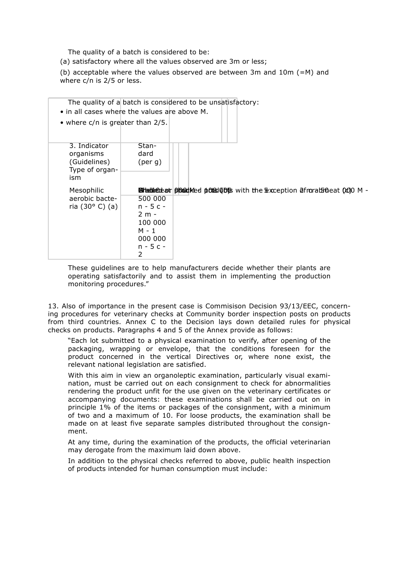The quality of a batch is considered to be:

(a) satisfactory where all the values observed are 3m or less;

(b) acceptable where the values observed are between 3m and  $10m$  (=M) and where c/n is 2/5 or less.

| $\bullet$ in all cases where the values are above M.               |                                                                                   | The quality of a batch is considered to be unsatisfactory:                                             |
|--------------------------------------------------------------------|-----------------------------------------------------------------------------------|--------------------------------------------------------------------------------------------------------|
| • where $c/n$ is greater than 2/5.                                 |                                                                                   |                                                                                                        |
| 3. Indicator<br>organisms<br>(Guidelines)<br>Type of organ-<br>ism | Stan-<br>dard<br>$(\text{per } q)$                                                |                                                                                                        |
| Mesophilic<br>aerobic bacte-<br>ria (30 $^{\circ}$ C) (a)          | 500 000<br>$n - 5c -$<br>$2m -$<br>100 000<br>M - 1<br>000 000<br>$n - 5c -$<br>2 | <b>SilladdieCole at phonodic coles of the Sexual Coles of School Coles Coles Manufacture (CO) OM -</b> |

These guidelines are to help manufacturers decide whether their plants are operating satisfactorily and to assist them in implementing the production monitoring procedures."

13. Also of importance in the present case is Commisison Decision 93/13/EEC, concerning procedures for veterinary checks at Community border inspection posts on products from third countries. Annex C to the Decision lays down detailed rules for physical checks on products. Paragraphs 4 and 5 of the Annex provide as follows:

"Each lot submitted to a physical examination to verify, after opening of the packaging, wrapping or envelope, that the conditions foreseen for the product concerned in the vertical Directives or, where none exist, the relevant national legislation are satisfied.

With this aim in view an organoleptic examination, particularly visual examination, must be carried out on each consignment to check for abnormalities rendering the product unfit for the use given on the veterinary certificates or accompanying documents: these examinations shall be carried out on in principle 1% of the items or packages of the consignment, with a minimum of two and a maximum of 10. For loose products, the examination shall be made on at least five separate samples distributed throughout the consignment.

At any time, during the examination of the products, the official veterinarian may derogate from the maximum laid down above.

In addition to the physical checks referred to above, public health inspection of products intended for human consumption must include: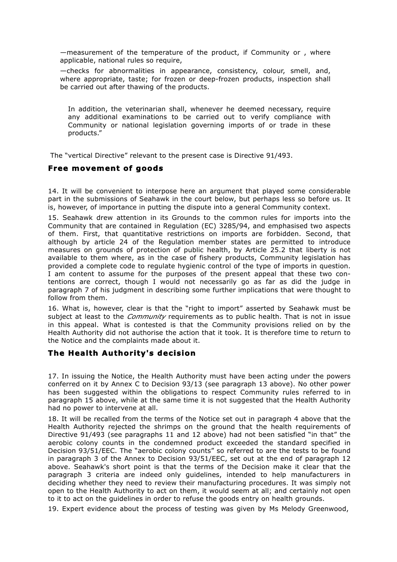—measurement of the temperature of the product, if Community or , where applicable, national rules so require,

—checks for abnormalities in appearance, consistency, colour, smell, and, where appropriate, taste; for frozen or deep-frozen products, inspection shall be carried out after thawing of the products.

In addition, the veterinarian shall, whenever he deemed necessary, require any additional examinations to be carried out to verify compliance with Community or national legislation governing imports of or trade in these products."

The "vertical Directive" relevant to the present case is Directive 91/493.

#### **Free movement of goods**

14. It will be convenient to interpose here an argument that played some considerable part in the submissions of Seahawk in the court below, but perhaps less so before us. It is, however, of importance in putting the dispute into a general Community context.

15. Seahawk drew attention in its Grounds to the common rules for imports into the Community that are contained in Regulation (EC) 3285/94, and emphasised two aspects of them. First, that quantitative restrictions on imports are forbidden. Second, that although by article 24 of the Regulation member states are permitted to introduce measures on grounds of protection of public health, by Article 25.2 that liberty is not available to them where, as in the case of fishery products, Community legislation has provided a complete code to regulate hygienic control of the type of imports in question. I am content to assume for the purposes of the present appeal that these two contentions are correct, though I would not necessarily go as far as did the judge in paragraph 7 of his judgment in describing some further implications that were thought to follow from them.

16. What is, however, clear is that the "right to import" asserted by Seahawk must be subject at least to the *Community* requirements as to public health. That is not in issue in this appeal. What is contested is that the Community provisions relied on by the Health Authority did not authorise the action that it took. It is therefore time to return to the Notice and the complaints made about it.

#### **The Health Authority's decision**

17. In issuing the Notice, the Health Authority must have been acting under the powers conferred on it by Annex C to Decision 93/13 (see paragraph 13 above). No other power has been suggested within the obligations to respect Community rules referred to in paragraph 15 above, while at the same time it is not suggested that the Health Authority had no power to intervene at all.

18. It will be recalled from the terms of the Notice set out in paragraph 4 above that the Health Authority rejected the shrimps on the ground that the health requirements of Directive 91/493 (see paragraphs 11 and 12 above) had not been satisfied "in that" the aerobic colony counts in the condemned product exceeded the standard specified in Decision 93/51/EEC. The "aerobic colony counts" so referred to are the tests to be found in paragraph 3 of the Annex to Decision 93/51/EEC, set out at the end of paragraph 12 above. Seahawk's short point is that the terms of the Decision make it clear that the paragraph 3 criteria are indeed only guidelines, intended to help manufacturers in deciding whether they need to review their manufacturing procedures. It was simply not open to the Health Authority to act on them, it would seem at all; and certainly not open to it to act on the guidelines in order to refuse the goods entry on health grounds.

19. Expert evidence about the process of testing was given by Ms Melody Greenwood,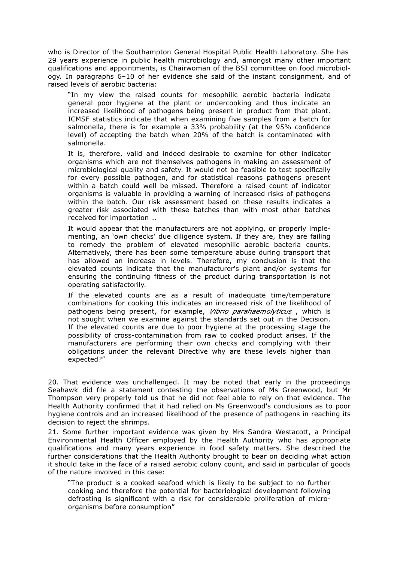who is Director of the Southampton General Hospital Public Health Laboratory. She has 29 years experience in public health microbiology and, amongst many other important qualifications and appointments, is Chairwoman of the BSI committee on food microbiology. In paragraphs 6–10 of her evidence she said of the instant consignment, and of raised levels of aerobic bacteria:

"In my view the raised counts for mesophilic aerobic bacteria indicate general poor hygiene at the plant or undercooking and thus indicate an increased likelihood of pathogens being present in product from that plant. ICMSF statistics indicate that when examining five samples from a batch for salmonella, there is for example a 33% probability (at the 95% confidence level) of accepting the batch when 20% of the batch is contaminated with salmonella.

It is, therefore, valid and indeed desirable to examine for other indicator organisms which are not themselves pathogens in making an assessment of microbiological quality and safety. It would not be feasible to test specifically for every possible pathogen, and for statistical reasons pathogens present within a batch could well be missed. Therefore a raised count of indicator organisms is valuable in providing a warning of increased risks of pathogens within the batch. Our risk assessment based on these results indicates a greater risk associated with these batches than with most other batches received for importation …

It would appear that the manufacturers are not applying, or properly implementing, an 'own checks' due diligence system. If they are, they are failing to remedy the problem of elevated mesophilic aerobic bacteria counts. Alternatively, there has been some temperature abuse during transport that has allowed an increase in levels. Therefore, my conclusion is that the elevated counts indicate that the manufacturer's plant and/or systems for ensuring the continuing fitness of the product during transportation is not operating satisfactorily.

If the elevated counts are as a result of inadequate time/temperature combinations for cooking this indicates an increased risk of the likelihood of pathogens being present, for example, *Vibrio parahaemolyticus* , which is not sought when we examine against the standards set out in the Decision. If the elevated counts are due to poor hygiene at the processing stage the possibility of cross-contamination from raw to cooked product arises. If the manufacturers are performing their own checks and complying with their obligations under the relevant Directive why are these levels higher than expected?"

20. That evidence was unchallenged. It may be noted that early in the proceedings Seahawk did file a statement contesting the observations of Ms Greenwood, but Mr Thompson very properly told us that he did not feel able to rely on that evidence. The Health Authority confirmed that it had relied on Ms Greenwood's conclusions as to poor hygiene controls and an increased likelihood of the presence of pathogens in reaching its decision to reject the shrimps.

21. Some further important evidence was given by Mrs Sandra Westacott, a Principal Environmental Health Officer employed by the Health Authority who has appropriate qualifications and many years experience in food safety matters. She described the further considerations that the Health Authority brought to bear on deciding what action it should take in the face of a raised aerobic colony count, and said in particular of goods of the nature involved in this case:

"The product is a cooked seafood which is likely to be subject to no further cooking and therefore the potential for bacteriological development following defrosting is significant with a risk for considerable proliferation of microorganisms before consumption"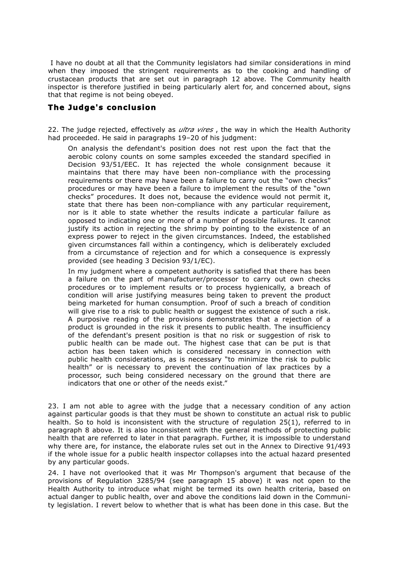I have no doubt at all that the Community legislators had similar considerations in mind when they imposed the stringent requirements as to the cooking and handling of crustacean products that are set out in paragraph 12 above. The Community health inspector is therefore justified in being particularly alert for, and concerned about, signs that that regime is not being obeyed.

#### **The Judge's conclusion**

22. The judge rejected, effectively as *ultra vires* , the way in which the Health Authority had proceeded. He said in paragraphs 19-20 of his judgment:

On analysis the defendant's position does not rest upon the fact that the aerobic colony counts on some samples exceeded the standard specified in Decision 93/51/EEC. It has rejected the whole consignment because it maintains that there may have been non-compliance with the processing requirements or there may have been a failure to carry out the "own checks" procedures or may have been a failure to implement the results of the "own checks" procedures. It does not, because the evidence would not permit it, state that there has been non-compliance with any particular requirement, nor is it able to state whether the results indicate a particular failure as opposed to indicating one or more of a number of possible failures. It cannot justify its action in rejecting the shrimp by pointing to the existence of an express power to reject in the given circumstances. Indeed, the established given circumstances fall within a contingency, which is deliberately excluded from a circumstance of rejection and for which a consequence is expressly provided (see heading 3 Decision 93/1/EC).

In my judgment where a competent authority is satisfied that there has been a failure on the part of manufacturer/processor to carry out own checks procedures or to implement results or to process hygienically, a breach of condition will arise justifying measures being taken to prevent the product being marketed for human consumption. Proof of such a breach of condition will give rise to a risk to public health or suggest the existence of such a risk. A purposive reading of the provisions demonstrates that a rejection of a product is grounded in the risk it presents to public health. The insufficiency of the defendant's present position is that no risk or suggestion of risk to public health can be made out. The highest case that can be put is that action has been taken which is considered necessary in connection with public health considerations, as is necessary "to minimize the risk to public health" or is necessary to prevent the continuation of lax practices by a processor, such being considered necessary on the ground that there are indicators that one or other of the needs exist."

23. I am not able to agree with the judge that a necessary condition of any action against particular goods is that they must be shown to constitute an actual risk to public health. So to hold is inconsistent with the structure of regulation 25(1), referred to in paragraph 8 above. It is also inconsistent with the general methods of protecting public health that are referred to later in that paragraph. Further, it is impossible to understand why there are, for instance, the elaborate rules set out in the Annex to Directive 91/493 if the whole issue for a public health inspector collapses into the actual hazard presented by any particular goods.

24. I have not overlooked that it was Mr Thompson's argument that because of the provisions of Regulation 3285/94 (see paragraph 15 above) it was not open to the Health Authority to introduce what might be termed its own health criteria, based on actual danger to public health, over and above the conditions laid down in the Community legislation. I revert below to whether that is what has been done in this case. But the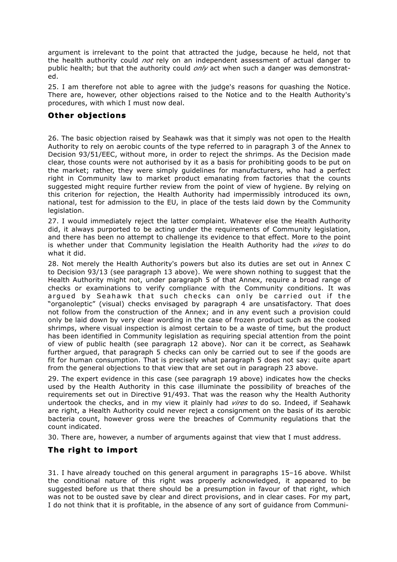argument is irrelevant to the point that attracted the judge, because he held, not that the health authority could *not* rely on an independent assessment of actual danger to public health; but that the authority could *only* act when such a danger was demonstrated.

25. I am therefore not able to agree with the judge's reasons for quashing the Notice. There are, however, other objections raised to the Notice and to the Health Authority's procedures, with which I must now deal.

#### **Other objections**

26. The basic objection raised by Seahawk was that it simply was not open to the Health Authority to rely on aerobic counts of the type referred to in paragraph 3 of the Annex to Decision 93/51/EEC, without more, in order to reject the shrimps. As the Decision made clear, those counts were not authorised by it as a basis for prohibiting goods to be put on the market; rather, they were simply guidelines for manufacturers, who had a perfect right in Community law to market product emanating from factories that the counts suggested might require further review from the point of view of hygiene. By relying on this criterion for rejection, the Health Authority had impermissibly introduced its own, national, test for admission to the EU, in place of the tests laid down by the Community legislation.

27. I would immediately reject the latter complaint. Whatever else the Health Authority did, it always purported to be acting under the requirements of Community legislation, and there has been no attempt to challenge its evidence to that effect. More to the point is whether under that Community legislation the Health Authority had the *vires* to do what it did.

28. Not merely the Health Authority's powers but also its duties are set out in Annex C to Decision 93/13 (see paragraph 13 above). We were shown nothing to suggest that the Health Authority might not, under paragraph 5 of that Annex, require a broad range of checks or examinations to verify compliance with the Community conditions. It was argued by Seahawk that such checks can only be carried out if the "organoleptic" (visual) checks envisaged by paragraph 4 are unsatisfactory. That does not follow from the construction of the Annex; and in any event such a provision could only be laid down by very clear wording in the case of frozen product such as the cooked shrimps, where visual inspection is almost certain to be a waste of time, but the product has been identified in Community legislation as requiring special attention from the point of view of public health (see paragraph 12 above). Nor can it be correct, as Seahawk further argued, that paragraph 5 checks can only be carried out to see if the goods are fit for human consumption. That is precisely what paragraph 5 does not say: quite apart from the general objections to that view that are set out in paragraph 23 above.

29. The expert evidence in this case (see paragraph 19 above) indicates how the checks used by the Health Authority in this case illuminate the possibility of breaches of the requirements set out in Directive 91/493. That was the reason why the Health Authority undertook the checks, and in my view it plainly had *vires* to do so. Indeed, if Seahawk are right, a Health Authority could never reject a consignment on the basis of its aerobic bacteria count, however gross were the breaches of Community regulations that the count indicated.

30. There are, however, a number of arguments against that view that I must address.

## **The right to import**

31. I have already touched on this general argument in paragraphs 15–16 above. Whilst the conditional nature of this right was properly acknowledged, it appeared to be suggested before us that there should be a presumption in favour of that right, which was not to be ousted save by clear and direct provisions, and in clear cases. For my part, I do not think that it is profitable, in the absence of any sort of guidance from Communi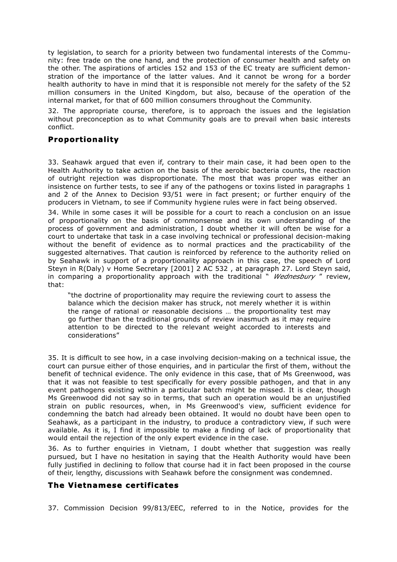ty legislation, to search for a priority between two fundamental interests of the Community: free trade on the one hand, and the protection of consumer health and safety on the other. The aspirations of articles 152 and 153 of the EC treaty are sufficient demonstration of the importance of the latter values. And it cannot be wrong for a border health authority to have in mind that it is responsible not merely for the safety of the 52 million consumers in the United Kingdom, but also, because of the operation of the internal market, for that of 600 million consumers throughout the Community.

32. The appropriate course, therefore, is to approach the issues and the legislation without preconception as to what Community goals are to prevail when basic interests conflict.

## **Proportionality**

33. Seahawk argued that even if, contrary to their main case, it had been open to the Health Authority to take action on the basis of the aerobic bacteria counts, the reaction of outright rejection was disproportionate. The most that was proper was either an insistence on further tests, to see if any of the pathogens or toxins listed in paragraphs 1 and 2 of the Annex to Decision 93/51 were in fact present; or further enquiry of the producers in Vietnam, to see if Community hygiene rules were in fact being observed.

34. While in some cases it will be possible for a court to reach a conclusion on an issue of proportionality on the basis of commonsense and its own understanding of the process of government and administration, I doubt whether it will often be wise for a court to undertake that task in a case involving technical or professional decision-making without the benefit of evidence as to normal practices and the practicability of the suggested alternatives. That caution is reinforced by reference to the authority relied on by Seahawk in support of a proportionality approach in this case, the speech of Lord Steyn in R(Daly) v Home Secretary [2001] 2 AC 532 , at paragraph 27. Lord Steyn said, in comparing a proportionality approach with the traditional " *Wednesbury* " review, that:

"the doctrine of proportionality may require the reviewing court to assess the balance which the decision maker has struck, not merely whether it is within the range of rational or reasonable decisions … the proportionality test may go further than the traditional grounds of review inasmuch as it may require attention to be directed to the relevant weight accorded to interests and considerations"

35. It is difficult to see how, in a case involving decision-making on a technical issue, the court can pursue either of those enquiries, and in particular the first of them, without the benefit of technical evidence. The only evidence in this case, that of Ms Greenwood, was that it was not feasible to test specifically for every possible pathogen, and that in any event pathogens existing within a particular batch might be missed. It is clear, though Ms Greenwood did not say so in terms, that such an operation would be an unjustified strain on public resources, when, in Ms Greenwood's view, sufficient evidence for condemning the batch had already been obtained. It would no doubt have been open to Seahawk, as a participant in the industry, to produce a contradictory view, if such were available. As it is, I find it impossible to make a finding of lack of proportionality that would entail the rejection of the only expert evidence in the case.

36. As to further enquiries in Vietnam, I doubt whether that suggestion was really pursued, but I have no hesitation in saying that the Health Authority would have been fully justified in declining to follow that course had it in fact been proposed in the course of their, lengthy, discussions with Seahawk before the consignment was condemned.

# **The Vietnamese certificates**

37. Commission Decision 99/813/EEC, referred to in the Notice, provides for the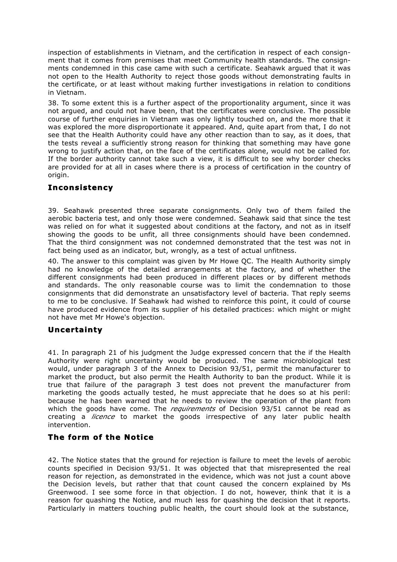inspection of establishments in Vietnam, and the certification in respect of each consignment that it comes from premises that meet Community health standards. The consignments condemned in this case came with such a certificate. Seahawk argued that it was not open to the Health Authority to reject those goods without demonstrating faults in the certificate, or at least without making further investigations in relation to conditions in Vietnam.

38. To some extent this is a further aspect of the proportionality argument, since it was not argued, and could not have been, that the certificates were conclusive. The possible course of further enquiries in Vietnam was only lightly touched on, and the more that it was explored the more disproportionate it appeared. And, quite apart from that, I do not see that the Health Authority could have any other reaction than to say, as it does, that the tests reveal a sufficiently strong reason for thinking that something may have gone wrong to justify action that, on the face of the certificates alone, would not be called for. If the border authority cannot take such a view, it is difficult to see why border checks are provided for at all in cases where there is a process of certification in the country of origin.

## **Inconsistency**

39. Seahawk presented three separate consignments. Only two of them failed the aerobic bacteria test, and only those were condemned. Seahawk said that since the test was relied on for what it suggested about conditions at the factory, and not as in itself showing the goods to be unfit, all three consignments should have been condemned. That the third consignment was not condemned demonstrated that the test was not in fact being used as an indicator, but, wrongly, as a test of actual unfitness.

40. The answer to this complaint was given by Mr Howe QC. The Health Authority simply had no knowledge of the detailed arrangements at the factory, and of whether the different consignments had been produced in different places or by different methods and standards. The only reasonable course was to limit the condemnation to those consignments that did demonstrate an unsatisfactory level of bacteria. That reply seems to me to be conclusive. If Seahawk had wished to reinforce this point, it could of course have produced evidence from its supplier of his detailed practices: which might or might not have met Mr Howe's objection.

## **Uncertainty**

41. In paragraph 21 of his judgment the Judge expressed concern that the if the Health Authority were right uncertainty would be produced. The same microbiological test would, under paragraph 3 of the Annex to Decision 93/51, permit the manufacturer to market the product, but also permit the Health Authority to ban the product. While it is true that failure of the paragraph 3 test does not prevent the manufacturer from marketing the goods actually tested, he must appreciate that he does so at his peril: because he has been warned that he needs to review the operation of the plant from which the goods have come. The *requirements* of Decision 93/51 cannot be read as creating a *licence* to market the goods irrespective of any later public health intervention.

## **The form of the Notice**

42. The Notice states that the ground for rejection is failure to meet the levels of aerobic counts specified in Decision 93/51. It was objected that that misrepresented the real reason for rejection, as demonstrated in the evidence, which was not just a count above the Decision levels, but rather that that count caused the concern explained by Ms Greenwood. I see some force in that objection. I do not, however, think that it is a reason for quashing the Notice, and much less for quashing the decision that it reports. Particularly in matters touching public health, the court should look at the substance,